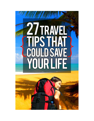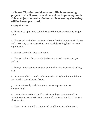**27 Travel Tips that could save your life is an ongoing project that will grow over time and we hope everyone is able to enjoy themselves better while traveling since they will be better prepared.** 

## **Enjoy the tips!**

1. Never pass up a good toilet because the next one may be a squat only.

2. Always get cash after customs at your destination airport. Euros and USD May be an exception. Don't risk breaking local custom regulations.

3. Always carry diarrhea medicine.

4. Always look up three words before you travel thank you, yes and no.

5. Always have tissues packages on hand for bathroom and eating use.

6. Certain medicine needs to be considered. Tylenol, Panadol and any needed prescription drugs.

7. Learn and study body language. Most expressions are international.

8. Use modern technology like twitter to keep you updated on certain travel areas. US Department of State and the CDC have an alert service.

9. Water usage should be increased to offset times when good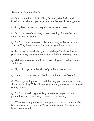clean water is not available.

10. Learn some basics in English, German, Mandarin, and Russian, these languages can sometimes be used in emergencies.

11. Study basic history of a region before going there.

12. Learn taboos of the area you are traveling. Remember it is their country not yours.

13. Don't assume the water is clean to drink just because locals drink it. They have built up immunities you don't have.

14. Traveling causes the body to loose sleep. This in will lower your immune system so make sure to schedule recovery time.

15. Make sure to schedule time to re-stock your travel pharmacy on the road.

16. Zip lock bags can solve allot of problems take several.

17. Understand and get certified in basic life saving first aid.

18. Use large back packs to travel that way you can never have to check in your bag. This will ensure you always have what you need when you need it.

19. Don't take basic hygiene for granted ensure you have it planned for and have what you need to stay healthy.

20. When traveling in crowed unorganized cities try to memorize key locations or land marks. These can be used to find your way later when needed.